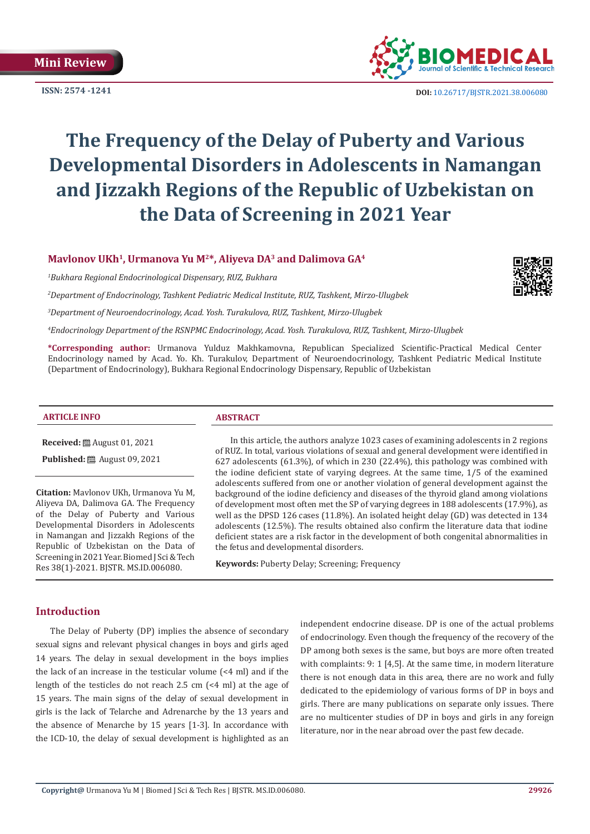**ISSN: 2574 -1241**



 **DOI:** [10.26717/BJSTR.2021.38.006080](https://dx.doi.org/10.26717/BJSTR.2021.38.006080)

# **The Frequency of the Delay of Puberty and Various Developmental Disorders in Adolescents in Namangan and Jizzakh Regions of the Republic of Uzbekistan on the Data of Screening in 2021 Year**

# **Mavlonov UKh1, Urmanova Yu M2\*, Aliyeva DA3 and Dalimova GA4**

*1 Bukhara Regional Endocrinological Dispensary, RUZ, Bukhara*

*2 Department of Endocrinology, Tashkent Pediatric Medical Institute, RUZ, Tashkent, Mirzo-Ulugbek*

*3 Department of Neuroendocrinology, Acad. Yosh. Turakulova, RUZ, Tashkent, Mirzo-Ulugbek*

*4 Endocrinology Department of the RSNPMC Endocrinology, Acad. Yosh. Turakulova, RUZ, Tashkent, Mirzo-Ulugbek*

**\*Corresponding author:** Urmanova Yulduz Makhkamovna, Republican Specialized Scientific-Practical Medical Center Endocrinology named by Acad. Yo. Kh. Turakulov, Department of Neuroendocrinology, Tashkent Pediatric Medical Institute (Department of Endocrinology), Bukhara Regional Endocrinology Dispensary, Republic of Uzbekistan

#### **ARTICLE INFO ABSTRACT**

**Received:** August 01, 2021

**Published:** ■ August 09, 2021

**Citation:** Mavlonov UKh, Urmanova Yu M, Aliyeva DA, Dalimova GA. The Frequency of the Delay of Puberty and Various Developmental Disorders in Adolescents in Namangan and Jizzakh Regions of the Republic of Uzbekistan on the Data of Screening in 2021 Year. Biomed J Sci & Tech Res 38(1)-2021. BJSTR. MS.ID.006080.

In this article, the authors analyze 1023 cases of examining adolescents in 2 regions of RUZ. In total, various violations of sexual and general development were identified in 627 adolescents  $(61.3\%)$ , of which in 230  $(22.4\%)$ , this pathology was combined with the iodine deficient state of varying degrees. At the same time, 1/5 of the examined adolescents suffered from one or another violation of general development against the background of the iodine deficiency and diseases of the thyroid gland among violations of development most often met the SP of varying degrees in 188 adolescents (17.9%), as well as the DPSD 126 cases (11.8%). An isolated height delay (GD) was detected in 134 adolescents (12.5%). The results obtained also confirm the literature data that iodine deficient states are a risk factor in the development of both congenital abnormalities in the fetus and developmental disorders.

**Keywords:** Puberty Delay; Screening; Frequency

# **Introduction**

The Delay of Puberty (DP) implies the absence of secondary sexual signs and relevant physical changes in boys and girls aged 14 years. The delay in sexual development in the boys implies the lack of an increase in the testicular volume (<4 ml) and if the length of the testicles do not reach 2.5 cm (<4 ml) at the age of 15 years. The main signs of the delay of sexual development in girls is the lack of Telarche and Adrenarche by the 13 years and the absence of Menarche by 15 years [1-3]. In accordance with the ICD-10, the delay of sexual development is highlighted as an

independent endocrine disease. DP is one of the actual problems of endocrinology. Even though the frequency of the recovery of the DP among both sexes is the same, but boys are more often treated with complaints: 9: 1 [4,5]. At the same time, in modern literature there is not enough data in this area, there are no work and fully dedicated to the epidemiology of various forms of DP in boys and girls. There are many publications on separate only issues. There are no multicenter studies of DP in boys and girls in any foreign literature, nor in the near abroad over the past few decade.

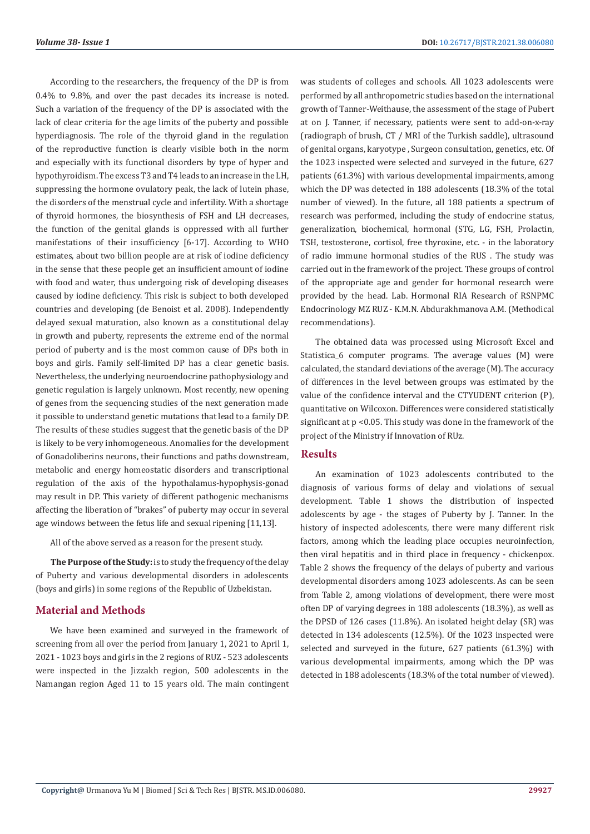According to the researchers, the frequency of the DP is from 0.4% to 9.8%, and over the past decades its increase is noted. Such a variation of the frequency of the DP is associated with the lack of clear criteria for the age limits of the puberty and possible hyperdiagnosis. The role of the thyroid gland in the regulation of the reproductive function is clearly visible both in the norm and especially with its functional disorders by type of hyper and hypothyroidism. The excess T3 and T4 leads to an increase in the LH, suppressing the hormone ovulatory peak, the lack of lutein phase, the disorders of the menstrual cycle and infertility. With a shortage of thyroid hormones, the biosynthesis of FSH and LH decreases, the function of the genital glands is oppressed with all further manifestations of their insufficiency [6-17]. According to WHO estimates, about two billion people are at risk of iodine deficiency in the sense that these people get an insufficient amount of iodine with food and water, thus undergoing risk of developing diseases caused by iodine deficiency. This risk is subject to both developed countries and developing (de Benoist et al. 2008). Independently delayed sexual maturation, also known as a constitutional delay in growth and puberty, represents the extreme end of the normal period of puberty and is the most common cause of DPs both in boys and girls. Family self-limited DP has a clear genetic basis. Nevertheless, the underlying neuroendocrine pathophysiology and genetic regulation is largely unknown. Most recently, new opening of genes from the sequencing studies of the next generation made it possible to understand genetic mutations that lead to a family DP. The results of these studies suggest that the genetic basis of the DP is likely to be very inhomogeneous. Anomalies for the development of Gonadoliberins neurons, their functions and paths downstream, metabolic and energy homeostatic disorders and transcriptional regulation of the axis of the hypothalamus-hypophysis-gonad may result in DP. This variety of different pathogenic mechanisms affecting the liberation of "brakes" of puberty may occur in several age windows between the fetus life and sexual ripening [11,13].

All of the above served as a reason for the present study.

**The Purpose of the Study:** is to study the frequency of the delay of Puberty and various developmental disorders in adolescents (boys and girls) in some regions of the Republic of Uzbekistan.

#### **Material and Methods**

We have been examined and surveyed in the framework of screening from all over the period from January 1, 2021 to April 1, 2021 - 1023 boys and girls in the 2 regions of RUZ - 523 adolescents were inspected in the Jizzakh region, 500 adolescents in the Namangan region Aged 11 to 15 years old. The main contingent

was students of colleges and schools. All 1023 adolescents were performed by all anthropometric studies based on the international growth of Tanner-Weithause, the assessment of the stage of Pubert at on J. Tanner, if necessary, patients were sent to add-on-x-ray (radiograph of brush, CT / MRI of the Turkish saddle), ultrasound of genital organs, karyotype , Surgeon consultation, genetics, etc. Of the 1023 inspected were selected and surveyed in the future, 627 patients (61.3%) with various developmental impairments, among which the DP was detected in 188 adolescents (18.3% of the total number of viewed). In the future, all 188 patients a spectrum of research was performed, including the study of endocrine status, generalization, biochemical, hormonal (STG, LG, FSH, Prolactin, TSH, testosterone, cortisol, free thyroxine, etc. - in the laboratory of radio immune hormonal studies of the RUS . The study was carried out in the framework of the project. These groups of control of the appropriate age and gender for hormonal research were provided by the head. Lab. Hormonal RIA Research of RSNPMC Endocrinology MZ RUZ - K.M.N. Abdurakhmanova A.M. (Methodical recommendations).

The obtained data was processed using Microsoft Excel and Statistica\_6 computer programs. The average values (M) were calculated, the standard deviations of the average (M). The accuracy of differences in the level between groups was estimated by the value of the confidence interval and the CTYUDENT criterion (P), quantitative on Wilcoxon. Differences were considered statistically significant at p <0.05. This study was done in the framework of the project of the Ministry if Innovation of RUz.

#### **Results**

An examination of 1023 adolescents contributed to the diagnosis of various forms of delay and violations of sexual development. Table 1 shows the distribution of inspected adolescents by age - the stages of Puberty by J. Tanner. In the history of inspected adolescents, there were many different risk factors, among which the leading place occupies neuroinfection, then viral hepatitis and in third place in frequency - chickenpox. Table 2 shows the frequency of the delays of puberty and various developmental disorders among 1023 adolescents. As can be seen from Table 2, among violations of development, there were most often DP of varying degrees in 188 adolescents (18.3%), as well as the DPSD of 126 cases (11.8%). An isolated height delay (SR) was detected in 134 adolescents (12.5%). Of the 1023 inspected were selected and surveyed in the future, 627 patients (61.3%) with various developmental impairments, among which the DP was detected in 188 adolescents (18.3% of the total number of viewed).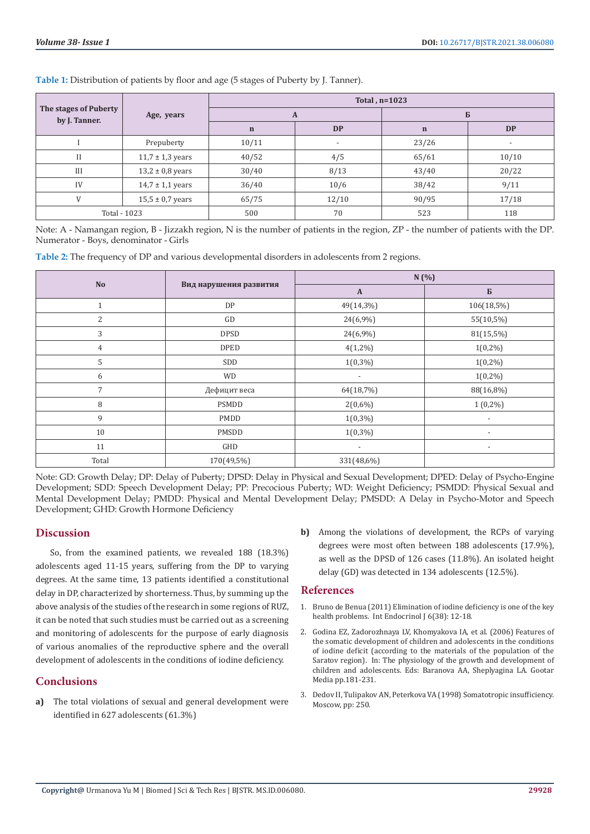| The stages of Puberty<br>by J. Tanner. | Age, years           | Total, $n=1023$ |                          |             |                          |
|----------------------------------------|----------------------|-----------------|--------------------------|-------------|--------------------------|
|                                        |                      | A               |                          | Б           |                          |
|                                        |                      | $\mathbf n$     | <b>DP</b>                | $\mathbf n$ | <b>DP</b>                |
|                                        | Prepuberty           | 10/11           | $\overline{\phantom{a}}$ | 23/26       | $\overline{\phantom{a}}$ |
| Н                                      | $11,7 \pm 1,3$ years | 40/52           | 4/5                      | 65/61       | 10/10                    |
| Ш                                      | $13,2 \pm 0,8$ years | 30/40           | 8/13                     | 43/40       | 20/22                    |
| IV                                     | $14.7 \pm 1.1$ years | 36/40           | 10/6                     | 38/42       | 9/11                     |
| V                                      | $15,5 \pm 0.7$ years | 65/75           | 12/10                    | 90/95       | 17/18                    |
| Total - 1023                           |                      | 500             | 70                       | 523         | 118                      |

**Table 1:** Distribution of patients by floor and age (5 stages of Puberty by J. Tanner).

Note: A - Namangan region, B - Jizzakh region, N is the number of patients in the region, ZP - the number of patients with the DP. Numerator - Boys, denominator - Girls

**Table 2:** The frequency of DP and various developmental disorders in adolescents from 2 regions.

|                |                        | N(%)                     |                          |  |
|----------------|------------------------|--------------------------|--------------------------|--|
| <b>No</b>      | Вид нарушения развития | $\mathbf{A}$             | $\bf{B}$                 |  |
| 1              | DP                     | 49(14,3%)                | 106(18,5%)               |  |
| $\overline{2}$ | GD                     | 24(6,9%)                 | 55(10,5%)                |  |
| 3              | <b>DPSD</b>            | 24(6,9%)                 | 81(15,5%)                |  |
| 4              | <b>DPED</b>            | $4(1,2\%)$               | $1(0,2\%)$               |  |
| 5              | SDD                    | $1(0,3\%)$               | $1(0,2\%)$               |  |
| 6              | <b>WD</b>              | $\overline{\phantom{a}}$ | $1(0,2\%)$               |  |
| 7              | Дефицит веса           | 64(18,7%)                | 88(16,8%)                |  |
| 8              | PSMDD                  | $2(0,6\%)$               | $1(0,2\%)$               |  |
| 9              | PMDD                   | $1(0,3\%)$               | $\overline{\phantom{a}}$ |  |
| 10             | PMSDD                  | $1(0,3\%)$               | $\overline{\phantom{a}}$ |  |
| 11             | GHD                    | $\overline{\phantom{a}}$ | $\overline{\phantom{a}}$ |  |
| Total          | 170(49,5%)             | 331(48,6%)               |                          |  |

Note: GD: Growth Delay; DP: Delay of Puberty; DPSD: Delay in Physical and Sexual Development; DPED: Delay of Psycho-Engine Development; SDD: Speech Development Delay; PP: Precocious Puberty; WD: Weight Deficiency; PSMDD: Physical Sexual and Mental Development Delay; PMDD: Physical and Mental Development Delay; PMSDD: A Delay in Psycho-Motor and Speech Development; GHD: Growth Hormone Deficiency

# **Discussion**

So, from the examined patients, we revealed 188 (18.3%) adolescents aged 11-15 years, suffering from the DP to varying degrees. At the same time, 13 patients identified a constitutional delay in DP, characterized by shorterness. Thus, by summing up the above analysis of the studies of the research in some regions of RUZ, it can be noted that such studies must be carried out as a screening and monitoring of adolescents for the purpose of early diagnosis of various anomalies of the reproductive sphere and the overall development of adolescents in the conditions of iodine deficiency.

# **Conclusions**

**a)** The total violations of sexual and general development were identified in 627 adolescents (61.3%)

**b)** Among the violations of development, the RCPs of varying degrees were most often between 188 adolescents (17.9%), as well as the DPSD of 126 cases (11.8%). An isolated height delay (GD) was detected in 134 adolescents (12.5%).

# **References**

- 1. Bruno de Benua (2011) Elimination of iodine deficiency is one of the key health problems. Int Endocrinol J 6(38): 12-18.
- 2. Godina EZ, Zadorozhnaya LV, Khomyakova IA, et al. (2006) Features of the somatic development of children and adolescents in the conditions of iodine deficit (according to the materials of the population of the Saratov region). In: The physiology of the growth and development of children and adolescents. Eds: Baranova AA, Sheplyagina LA. Gootar Media pp.181-231.
- 3. Dedov II, Tulipakov AN, Peterkova VA (1998) Somatotropic insufficiency. Moscow, pp: 250.